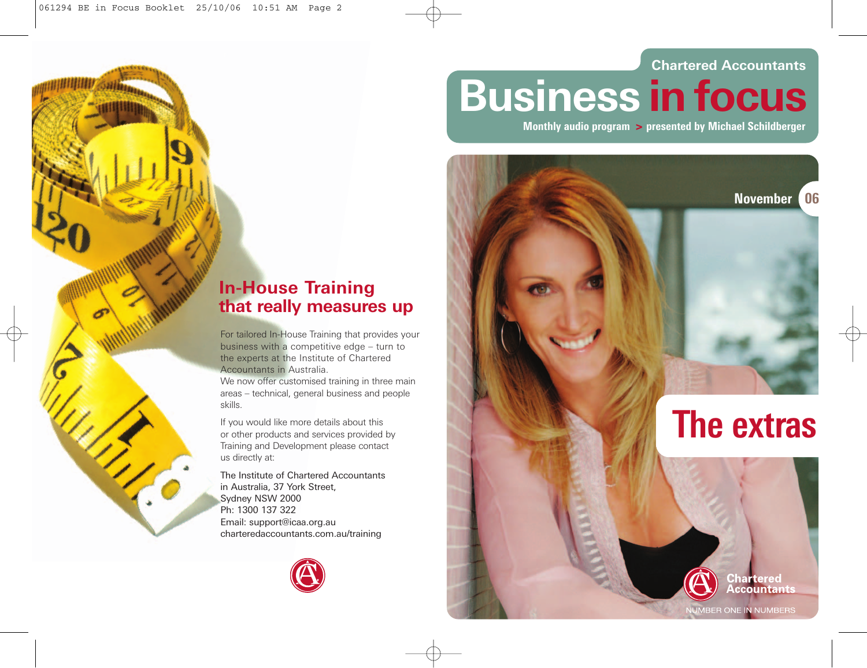### **Chartered Accountants**

**Business in focus**

**Monthly audio program > presented by Michael Schildberger**



## **In-House Training that really measures up**

For tailored In-House Training that provides your business with a competitive edge – turn to the experts at the Institute of Chartered Accountants in Australia.

We now offer customised training in three main areas – technical, general business and people skills.

If you would like more details about this or other products and services provided by Training and Development please contact us directly at:

The Institute of Chartered Accountants in Australia, 37 York Street, Sydney NSW 2000 Ph: 1300 137 322 Email: support@icaa.org.au charteredaccountants.com.au/training



**NUMBER ONE IN NUMBERS**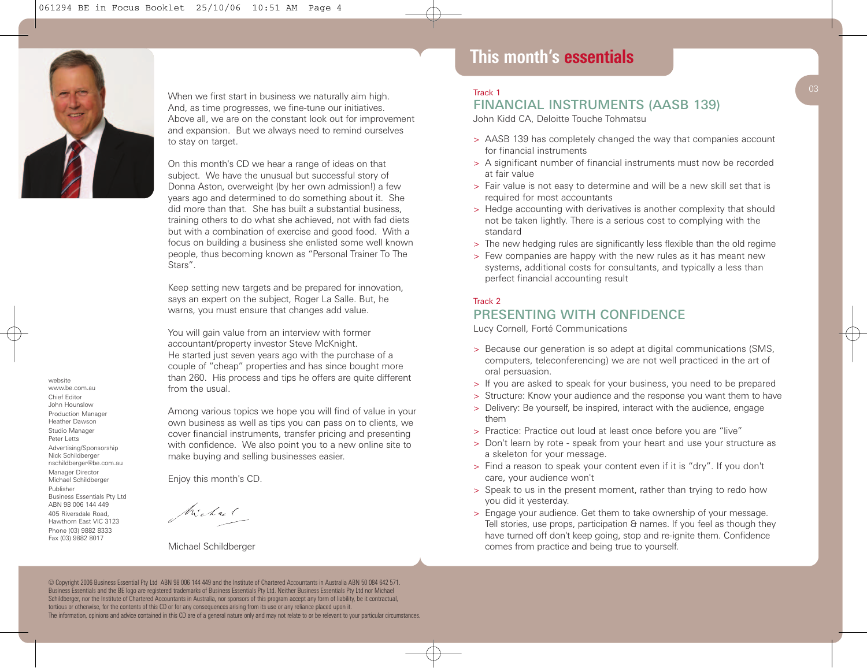

website www.be.com.au Chief Editor John Hounslow Production Manager Heather Dawson Studio Manager Peter Letts Advertising/Sponsorship Nick Schildberger nschildberger@be.com.au Manager Director Michael Schildberger Publisher

Business Essentials Pty Ltd ABN 98 006 144 449 405 Riversdale Road, Hawthorn East VIC 3123 Phone (03) 9882 8333 Fax (03) 9882 8017

When we first start in business we naturally aim high. And, as time progresses, we fine-tune our initiatives. Above all, we are on the constant look out for improvement and expansion. But we always need to remind ourselves to stay on target.

On this month's CD we hear a range of ideas on that subject. We have the unusual but successful story of Donna Aston, overweight (by her own admission!) a few years ago and determined to do something about it. She did more than that. She has built a substantial business, training others to do what she achieved, not with fad diets but with a combination of exercise and good food. With a focus on building a business she enlisted some well known people, thus becoming known as "Personal Trainer To The Stars".

Keep setting new targets and be prepared for innovation, says an expert on the subject, Roger La Salle. But, he warns, you must ensure that changes add value.

You will gain value from an interview with former accountant/property investor Steve McKnight. He started just seven years ago with the purchase of a couple of "cheap" properties and has since bought more than 260. His process and tips he offers are quite different from the usual.

Among various topics we hope you will find of value in your own business as well as tips you can pass on to clients, we cover financial instruments, transfer pricing and presenting with confidence. We also point you to a new online site to make buying and selling businesses easier.

Enjoy this month's CD.

Michael

Michael Schildberger

## **This month's essentials**

#### Track 1

### FINANCIAL INSTRUMENTS (AASB 139)

John Kidd CA, Deloitte Touche Tohmatsu

- > AASB 139 has completely changed the way that companies account for financial instruments
- > A significant number of financial instruments must now be recorded at fair value
- > Fair value is not easy to determine and will be a new skill set that is required for most accountants
- > Hedge accounting with derivatives is another complexity that should not be taken lightly. There is a serious cost to complying with the standard
- > The new hedging rules are significantly less flexible than the old regime
- > Few companies are happy with the new rules as it has meant new systems, additional costs for consultants, and typically a less than perfect financial accounting result

#### Track 2

### PRESENTING WITH CONFIDENCE

Lucy Cornell, Forté Communications

- > Because our generation is so adept at digital communications (SMS, computers, teleconferencing) we are not well practiced in the art of oral persuasion.
- > If you are asked to speak for your business, you need to be prepared
- > Structure: Know your audience and the response you want them to have
- > Delivery: Be yourself, be inspired, interact with the audience, engage them
- > Practice: Practice out loud at least once before you are "live"
- > Don't learn by rote speak from your heart and use your structure as a skeleton for your message.
- > Find a reason to speak your content even if it is "dry". If you don't care, your audience won't
- > Speak to us in the present moment, rather than trying to redo how you did it yesterday.
- > Engage your audience. Get them to take ownership of your message. Tell stories, use props, participation & names. If you feel as though they have turned off don't keep going, stop and re-ignite them. Confidence comes from practice and being true to yourself.

© Copyright 2006 Business Essential Pty Ltd ABN 98 006 144 449 and the Institute of Chartered Accountants in Australia ABN 50 084 642 571. Business Essentials and the BE logo are registered trademarks of Business Essentials Pty Ltd. Neither Business Essentials Pty Ltd nor Michael Schildberger, nor the Institute of Chartered Accountants in Australia, nor sponsors of this program accept any form of liability, be it contractual, tortious or otherwise, for the contents of this CD or for any consequences arising from its use or any reliance placed upon it. The information, opinions and advice contained in this CD are of a general nature only and may not relate to or be relevant to your particular circumstances.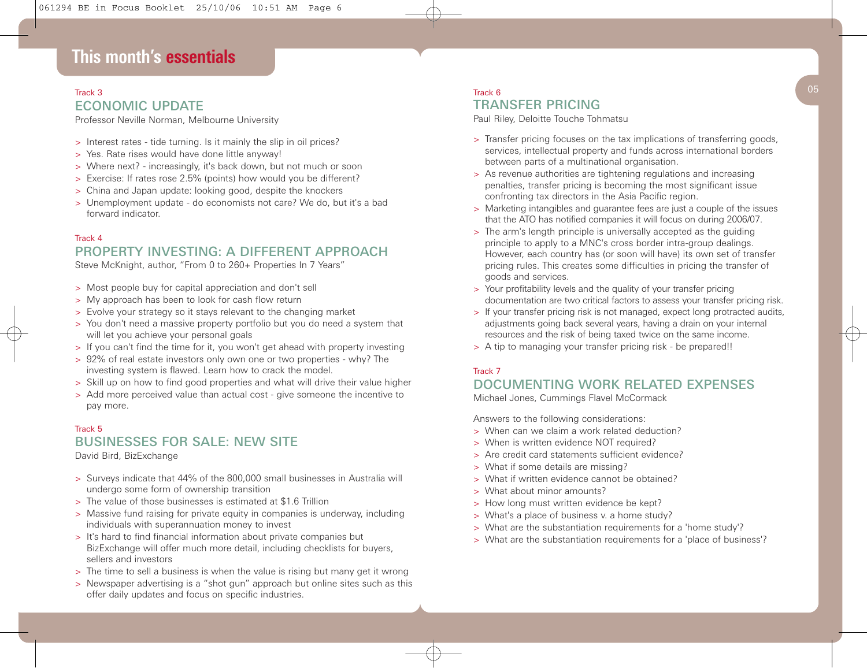## **This month's essentials**

# ECONOMIC UPDATE

Professor Neville Norman, Melbourne University

- > Interest rates tide turning. Is it mainly the slip in oil prices?
- > Yes. Rate rises would have done little anyway!
- > Where next? increasingly, it's back down, but not much or soon
- > Exercise: If rates rose 2.5% (points) how would you be different?
- > China and Japan update: looking good, despite the knockers
- > Unemployment update do economists not care? We do, but it's a bad forward indicator.

#### Track 4 PROPERTY INVESTING: A DIFFERENT APPROACH

Steve McKnight, author, "From 0 to 260+ Properties In 7 Years"

- > Most people buy for capital appreciation and don't sell
- > My approach has been to look for cash flow return
- > Evolve your strategy so it stays relevant to the changing market
- > You don't need a massive property portfolio but you do need a system that will let you achieve your personal goals
- > If you can't find the time for it, you won't get ahead with property investing
- > 92% of real estate investors only own one or two properties why? The investing system is flawed. Learn how to crack the model.
- > Skill up on how to find good properties and what will drive their value higher
- > Add more perceived value than actual cost give someone the incentive to pay more.

#### Track 5 BUSINESSES FOR SALE: NEW SITE

David Bird, BizExchange

- > Surveys indicate that 44% of the 800,000 small businesses in Australia will undergo some form of ownership transition
- > The value of those businesses is estimated at \$1.6 Trillion
- > Massive fund raising for private equity in companies is underway, including individuals with superannuation money to invest
- > It's hard to find financial information about private companies but BizExchange will offer much more detail, including checklists for buyers, sellers and investors
- > The time to sell a business is when the value is rising but many get it wrong
- > Newspaper advertising is a "shot gun" approach but online sites such as this offer daily updates and focus on specific industries.

#### Track 3  $\sqrt{05}$ Track 6 TRANSFER PRICING

Paul Riley, Deloitte Touche Tohmatsu

- > Transfer pricing focuses on the tax implications of transferring goods, services, intellectual property and funds across international borders between parts of a multinational organisation.
- > As revenue authorities are tightening regulations and increasing penalties, transfer pricing is becoming the most significant issue confronting tax directors in the Asia Pacific region.
- > Marketing intangibles and guarantee fees are just a couple of the issues that the ATO has notified companies it will focus on during 2006/07.
- > The arm's length principle is universally accepted as the guiding principle to apply to a MNC's cross border intra-group dealings. However, each country has (or soon will have) its own set of transfer pricing rules. This creates some difficulties in pricing the transfer of goods and services.
- > Your profitability levels and the quality of your transfer pricing documentation are two critical factors to assess your transfer pricing risk.
- > If your transfer pricing risk is not managed, expect long protracted audits, adjustments going back several years, having a drain on your internal resources and the risk of being taxed twice on the same income.
- > A tip to managing your transfer pricing risk be prepared!!

#### Track 7

### DOCUMENTING WORK RELATED EXPENSES

Michael Jones, Cummings Flavel McCormack

Answers to the following considerations:

- > When can we claim a work related deduction?
- > When is written evidence NOT required?
- > Are credit card statements sufficient evidence?
- > What if some details are missing?
- > What if written evidence cannot be obtained?
- > What about minor amounts?
- > How long must written evidence be kept?
- > What's a place of business v. a home study?
- > What are the substantiation requirements for a 'home study'?
- > What are the substantiation requirements for a 'place of business'?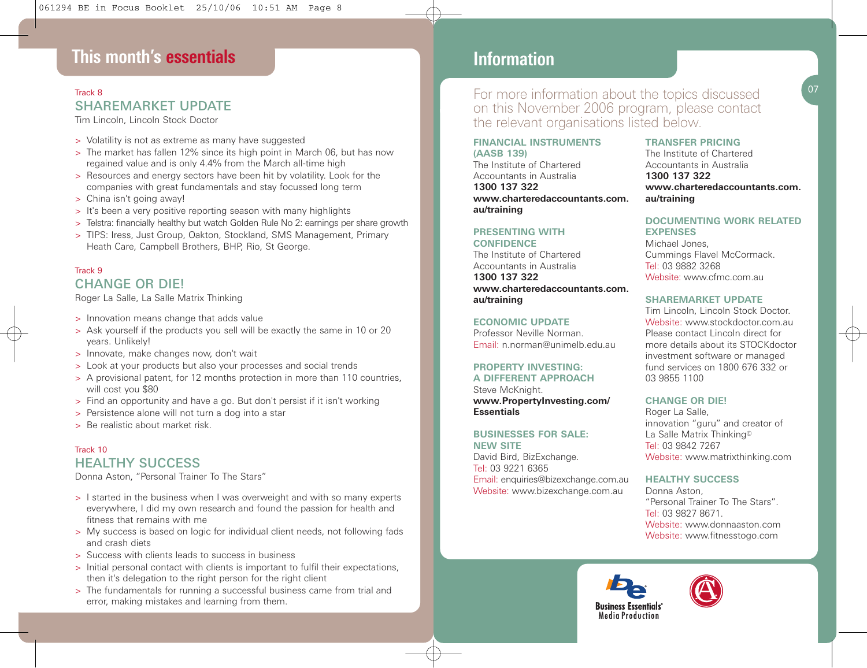## **This month's essentials**

### Track 8 SHAREMARKET UPDATE

Tim Lincoln, Lincoln Stock Doctor

- > Volatility is not as extreme as many have suggested
- > The market has fallen 12% since its high point in March 06, but has now regained value and is only 4.4% from the March all-time high
- > Resources and energy sectors have been hit by volatility. Look for the companies with great fundamentals and stay focussed long term
- > China isn't going away!
- > It's been a very positive reporting season with many highlights
- > Telstra: financially healthy but watch Golden Rule No 2: earnings per share growth
- > TIPS: Iress, Just Group, Oakton, Stockland, SMS Management, Primary Heath Care, Campbell Brothers, BHP, Rio, St George.

#### Track 9 CHANGE OR DIE!

Roger La Salle, La Salle Matrix Thinking

- > Innovation means change that adds value
- > Ask yourself if the products you sell will be exactly the same in 10 or 20 years. Unlikely!
- > Innovate, make changes now, don't wait
- > Look at your products but also your processes and social trends
- > A provisional patent, for 12 months protection in more than 110 countries, will cost you \$80
- > Find an opportunity and have a go. But don't persist if it isn't working
- > Persistence alone will not turn a dog into a star
- > Be realistic about market risk

### Track 10 HEALTHY SUCCESS

Donna Aston, "Personal Trainer To The Stars"

- > I started in the business when I was overweight and with so many experts everywhere, I did my own research and found the passion for health and fitness that remains with me
- > My success is based on logic for individual client needs, not following fads and crash diets
- > Success with clients leads to success in business
- > Initial personal contact with clients is important to fulfil their expectations, then it's delegation to the right person for the right client
- > The fundamentals for running a successful business came from trial and error, making mistakes and learning from them.

### **This month's essentials Information**

For more information about the topics discussed on this November 2006 program, please contact the relevant organisations listed below.

#### **FINANCIAL INSTRUMENTS**

**(AASB 139)** The Institute of Chartered Accountants in Australia **1300 137 322 www.charteredaccountants.com. au/training**

#### **PRESENTING WITH CONFIDENCE**

The Institute of Chartered Accountants in Australia **1300 137 322 www.charteredaccountants.com. au/training**

#### **ECONOMIC UPDATE**

Professor Neville Norman. Email: n.norman@unimelb.edu.au

#### **PROPERTY INVESTING: A DIFFERENT APPROACH**

Steve McKnight. **www.PropertyInvesting.com/ Essentials**

#### **BUSINESSES FOR SALE:**

**NEW SITE** David Bird, BizExchange. Tel: 03 9221 6365 Email: enquiries@bizexchange.com.au Website: www.bizexchange.com.au

#### **TRANSFER PRICING**

The Institute of Chartered Accountants in Australia **1300 137 322 www.charteredaccountants.com. au/training**

#### **DOCUMENTING WORK RELATED EXPENSES**

Michael Jones, Cummings Flavel McCormack. Tel: 03 9882 3268 Website: www.cfmc.com.au

#### **SHAREMARKET UPDATE**

Tim Lincoln, Lincoln Stock Doctor. Website: www.stockdoctor.com.au Please contact Lincoln direct for more details about its STOCKdoctor investment software or managed fund services on 1800 676 332 or 03 9855 1100

#### **CHANGE OR DIE!**

Roger La Salle, innovation "guru" and creator of La Salle Matrix Thinking© Tel: 03 9842 7267 Website: www.matrixthinking.com

#### **HEALTHY SUCCESS**

Donna Aston, "Personal Trainer To The Stars". Tel: 03 9827 8671. Website: www.donnaaston.com Website: www.fitnesstogo.com



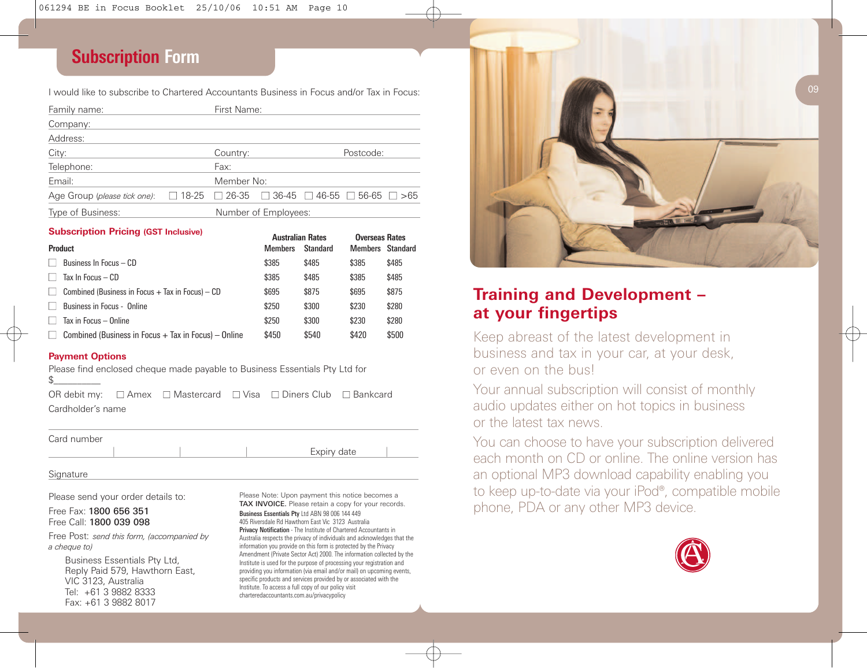## **Subscription Form**

I would like to subscribe to Chartered Accountants Business in Focus and/or Tax in Focus:

| Family name:                 |                                                                             | First Name:          |  |  |           |  |
|------------------------------|-----------------------------------------------------------------------------|----------------------|--|--|-----------|--|
| Company:                     |                                                                             |                      |  |  |           |  |
| Address:                     |                                                                             |                      |  |  |           |  |
| City:                        |                                                                             | Country:             |  |  | Postcode: |  |
| Telephone:                   |                                                                             | Fax:                 |  |  |           |  |
| Email:                       |                                                                             | Member No:           |  |  |           |  |
| Age Group (please tick one): | $\Box$ 18-25 $\Box$ 26-35 $\Box$ 36-45 $\Box$ 46-55 $\Box$ 56-65 $\Box$ >65 |                      |  |  |           |  |
| Type of Business:            |                                                                             | Number of Employees: |  |  |           |  |

#### **Subscription Pricing (GST Inclusive) Australian Rates Rates Rates Rates Rates Rates Rates Rates Rates Rates Rates Rates Rates Rates Rates Rates Rates Rates Rates Rates Rates Rates Rates Rates Rates Rates Rates Rates Rat**

|                                                                      | Australian Rates |                 | <b>UVERSEAS RATES</b> |       |
|----------------------------------------------------------------------|------------------|-----------------|-----------------------|-------|
| <b>Product</b>                                                       | <b>Members</b>   | <b>Standard</b> | Members Standard      |       |
| Business In Focus - CD                                               | \$385            | \$485           | \$385                 | \$485 |
| Tax In Focus $-$ CD                                                  | \$385            | \$485           | \$385                 | \$485 |
| Combined (Business in Focus $+$ Tax in Focus) $-$ CD<br>$\mathbf{1}$ | \$695            | \$875           | \$695                 | \$875 |
| Business in Focus - Online                                           | \$250            | \$300           | \$230                 | \$280 |
| Tax in Focus - Online                                                | \$250            | \$300           | \$230                 | \$280 |
| Combined (Business in Focus $+$ Tax in Focus) – Online               | \$450            | \$540           | \$420                 | \$500 |

#### **Payment Options**

Please find enclosed cheque made payable to Business Essentials Pty Ltd for

OR debit my: **■** Amex **■** Mastercard **■** Visa **■** Diners Club **■** Bankcard Cardholder's name

Card number

**Signature** 

Please send your order details to:

Free Fax: 1800 656 351 Free Call: 1800 039 098

Free Post: *send this form, (accompanied by a cheque to)*

Business Essentials Pty Ltd, Reply Paid 579, Hawthorn East, VIC 3123, Australia Tel: +61 3 9882 8333 Fax: +61 3 9882 8017

Please Note: Upon payment this notice becomes a TAX INVOICE. Please retain a copy for your records.

Expiry date

*Business Essentials Pty* Ltd ABN 98 006 144 449 405 Riversdale Rd Hawthorn East Vic 3123 Australia *Privacy Notification* - The Institute of Chartered Accountants in Australia respects the privacy of individuals and acknowledges that the information you provide on this form is protected by the Privacy Amendment (Private Sector Act) 2000. The information collected by the Institute is used for the purpose of processing your registration and providing you information (via email and/or mail) on upcoming events, specific products and services provided by or associated with the Institute. To access a full copy of our policy visit charteredaccountants.com.au/privacypolicy



## **Training and Development – at your fingertips**

Keep abreast of the latest development in business and tax in your car, at your desk, or even on the bus!

Your annual subscription will consist of monthly audio updates either on hot topics in business or the latest tax news.

You can choose to have your subscription delivered each month on CD or online. The online version has an optional MP3 download capability enabling you to keep up-to-date via your iPod®, compatible mobile phone, PDA or any other MP3 device.